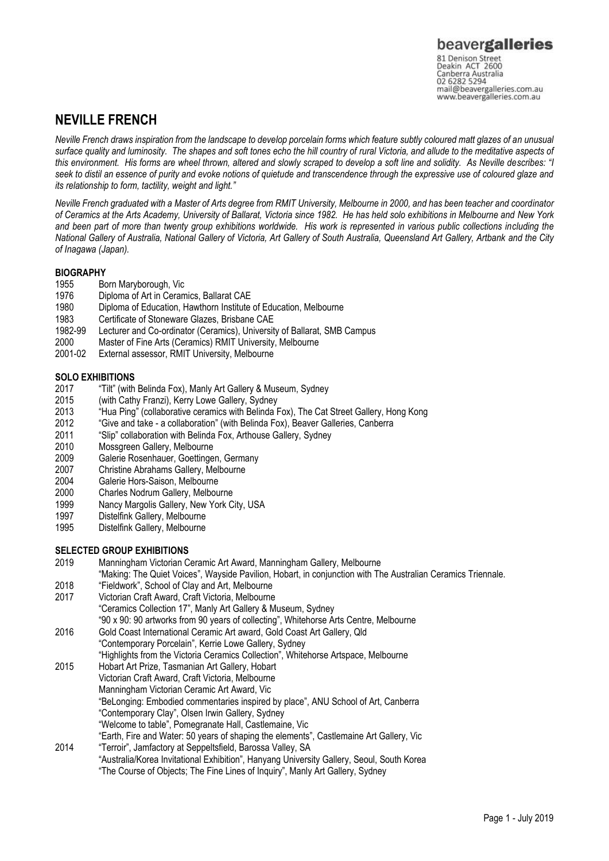# **NEVILLE FRENCH**

*Neville French draws inspiration from the landscape to develop porcelain forms which feature subtly coloured matt glazes of an unusual surface quality and luminosity. The shapes and soft tones echo the hill country of rural Victoria, and allude to the meditative aspects of this environment. His forms are wheel thrown, altered and slowly scraped to develop a soft line and solidity. As Neville describes: "I seek to distil an essence of purity and evoke notions of quietude and transcendence through the expressive use of coloured glaze and its relationship to form, tactility, weight and light."*

*Neville French graduated with a Master of Arts degree from RMIT University, Melbourne in 2000, and has been teacher and coordinator of Ceramics at the Arts Academy, University of Ballarat, Victoria since 1982. He has held solo exhibitions in Melbourne and New York and been part of more than twenty group exhibitions worldwide. His work is represented in various public collections including the National Gallery of Australia, National Gallery of Victoria, Art Gallery of South Australia, Queensland Art Gallery, Artbank and the City of Inagawa (Japan).*

# **BIOGRAPHY**

- 1955 Born Maryborough, Vic
- 1976 Diploma of Art in Ceramics, Ballarat CAE
- 1980 Diploma of Education, Hawthorn Institute of Education, Melbourne<br>1983 Certificate of Stoneware Glazes. Brisbane CAE
- 1983 Certificate of Stoneware Glazes, Brisbane CAE<br>1982-99 Lecturer and Co-ordinator (Ceramics), Universit
- 1982-99 Lecturer and Co-ordinator (Ceramics), University of Ballarat, SMB Campus
- 2000 Master of Fine Arts (Ceramics) RMIT University, Melbourne
- External assessor, RMIT University, Melbourne

# **SOLO EXHIBITIONS**

- 2017 "Tilt" (with Belinda Fox), Manly Art Gallery & Museum, Sydney<br>2015 (with Cathy Franzi), Kerry Lowe Gallery, Sydney
- (with Cathy Franzi), Kerry Lowe Gallery, Sydney
- 2013 "Hua Ping" (collaborative ceramics with Belinda Fox), The Cat Street Gallery, Hong Kong<br>2012 "Give and take a collaboration" (with Belinda Fox), Beaver Galleries, Canberra
- 2012 "Give and take a collaboration" (with Belinda Fox), Beaver Galleries, Canberra
- 2011 "Slip" collaboration with Belinda Fox, Arthouse Gallery, Sydney
- 2010 Mossgreen Gallery, Melbourne<br>2009 Galerie Rosenhauer. Goettinge
- 2009 Galerie Rosenhauer, Goettingen, Germany<br>2007 Christine Abrahams Gallery, Melbourne
- 2007 Christine Abrahams Gallery, Melbourne<br>2004 Galerie Hors-Saison, Melbourne
- 2004 Galerie Hors-Saison, Melbourne<br>2000 Charles Nodrum Gallery, Melbou
- Charles Nodrum Gallery, Melbourne
- 1999 Nancy Margolis Gallery, New York City, USA
- 1997 Distelfink Gallery, Melbourne
- 1995 Distelfink Gallery, Melbourne

# **SELECTED GROUP EXHIBITIONS**

- 2019 Manningham Victorian Ceramic Art Award, Manningham Gallery, Melbourne
- "Making: The Quiet Voices", Wayside Pavilion, Hobart, in conjunction with The Australian Ceramics Triennale.
- 2018 "Fieldwork", School of Clay and Art, Melbourne
- Victorian Craft Award, Craft Victoria, Melbourne "Ceramics Collection 17", Manly Art Gallery & Museum, Sydney "90 x 90: 90 artworks from 90 years of collecting", Whitehorse Arts Centre, Melbourne
- 2016 Gold Coast International Ceramic Art award, Gold Coast Art Gallery, Qld
- "Contemporary Porcelain", Kerrie Lowe Gallery, Sydney
- "Highlights from the Victoria Ceramics Collection", Whitehorse Artspace, Melbourne 2015 Hobart Art Prize, Tasmanian Art Gallery, Hobart
- Victorian Craft Award, Craft Victoria, Melbourne
	- Manningham Victorian Ceramic Art Award, Vic
	- "BeLonging: Embodied commentaries inspired by place", ANU School of Art, Canberra
	- "Contemporary Clay", Olsen Irwin Gallery, Sydney
		- "Welcome to table", Pomegranate Hall, Castlemaine, Vic
- "Earth, Fire and Water: 50 years of shaping the elements", Castlemaine Art Gallery, Vic
- 2014 "Terroir", Jamfactory at Seppeltsfield, Barossa Valley, SA "Australia/Korea Invitational Exhibition", Hanyang University Gallery, Seoul, South Korea
	- "The Course of Objects; The Fine Lines of Inquiry", Manly Art Gallery, Sydney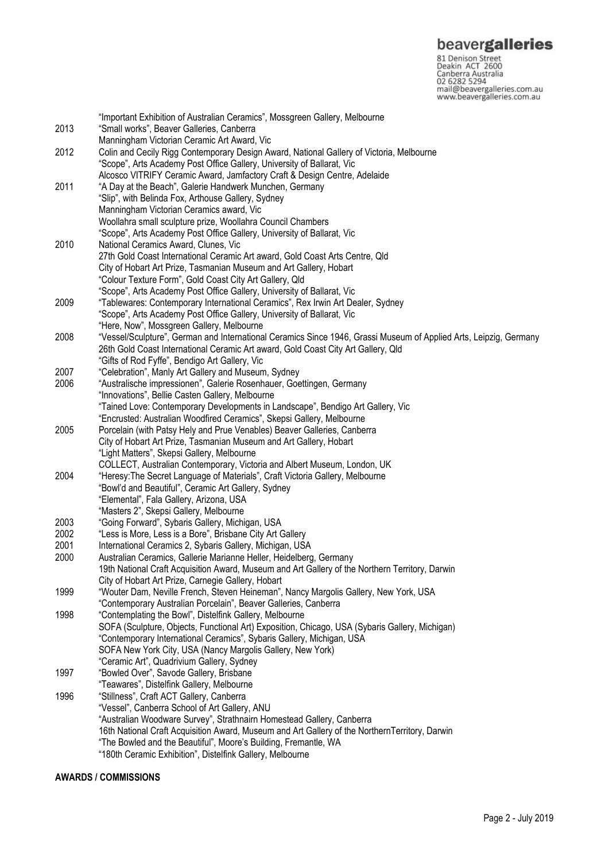**beavergalleries**<br> **81 Denison Street**<br>
Deakin ACT 2600<br>
Canberra Australia<br>
02 6282 5294<br>
mail@beavergalleries.com.au<br>
www.beavergalleries.com.au

|      | "Important Exhibition of Australian Ceramics", Mossgreen Gallery, Melbourne                                       |
|------|-------------------------------------------------------------------------------------------------------------------|
| 2013 | "Small works", Beaver Galleries, Canberra                                                                         |
|      | Manningham Victorian Ceramic Art Award, Vic                                                                       |
| 2012 | Colin and Cecily Rigg Contemporary Design Award, National Gallery of Victoria, Melbourne                          |
|      | "Scope", Arts Academy Post Office Gallery, University of Ballarat, Vic                                            |
|      | Alcosco VITRIFY Ceramic Award, Jamfactory Craft & Design Centre, Adelaide                                         |
| 2011 | "A Day at the Beach", Galerie Handwerk Munchen, Germany                                                           |
|      | "Slip", with Belinda Fox, Arthouse Gallery, Sydney                                                                |
|      | Manningham Victorian Ceramics award, Vic                                                                          |
|      | Woollahra small sculpture prize, Woollahra Council Chambers                                                       |
|      | "Scope", Arts Academy Post Office Gallery, University of Ballarat, Vic                                            |
| 2010 | National Ceramics Award, Clunes, Vic                                                                              |
|      |                                                                                                                   |
|      | 27th Gold Coast International Ceramic Art award, Gold Coast Arts Centre, Qld                                      |
|      | City of Hobart Art Prize, Tasmanian Museum and Art Gallery, Hobart                                                |
|      | "Colour Texture Form", Gold Coast City Art Gallery, Qld                                                           |
|      | "Scope", Arts Academy Post Office Gallery, University of Ballarat, Vic                                            |
| 2009 | "Tablewares: Contemporary International Ceramics", Rex Irwin Art Dealer, Sydney                                   |
|      | "Scope", Arts Academy Post Office Gallery, University of Ballarat, Vic                                            |
|      | "Here, Now", Mossgreen Gallery, Melbourne                                                                         |
| 2008 | "Vessel/Sculpture", German and International Ceramics Since 1946, Grassi Museum of Applied Arts, Leipzig, Germany |
|      | 26th Gold Coast International Ceramic Art award, Gold Coast City Art Gallery, Qld                                 |
|      | "Gifts of Rod Fyffe", Bendigo Art Gallery, Vic                                                                    |
| 2007 | "Celebration", Manly Art Gallery and Museum, Sydney                                                               |
| 2006 | "Australische impressionen", Galerie Rosenhauer, Goettingen, Germany                                              |
|      | "Innovations", Bellie Casten Gallery, Melbourne                                                                   |
|      | "Tained Love: Contemporary Developments in Landscape", Bendigo Art Gallery, Vic                                   |
|      | "Encrusted: Australian Woodfired Ceramics", Skepsi Gallery, Melbourne                                             |
| 2005 | Porcelain (with Patsy Hely and Prue Venables) Beaver Galleries, Canberra                                          |
|      | City of Hobart Art Prize, Tasmanian Museum and Art Gallery, Hobart                                                |
|      | "Light Matters", Skepsi Gallery, Melbourne                                                                        |
|      | COLLECT, Australian Contemporary, Victoria and Albert Museum, London, UK                                          |
| 2004 | "Heresy: The Secret Language of Materials", Craft Victoria Gallery, Melbourne                                     |
|      | "Bowl'd and Beautiful", Ceramic Art Gallery, Sydney                                                               |
|      | "Elemental", Fala Gallery, Arizona, USA                                                                           |
|      | "Masters 2", Skepsi Gallery, Melbourne                                                                            |
| 2003 | "Going Forward", Sybaris Gallery, Michigan, USA                                                                   |
| 2002 | "Less is More, Less is a Bore", Brisbane City Art Gallery                                                         |
| 2001 | International Ceramics 2, Sybaris Gallery, Michigan, USA                                                          |
| 2000 | Australian Ceramics, Gallerie Marianne Heller, Heidelberg, Germany                                                |
|      | 19th National Craft Acquisition Award, Museum and Art Gallery of the Northern Territory, Darwin                   |
|      | City of Hobart Art Prize, Carnegie Gallery, Hobart                                                                |
| 1999 | "Wouter Dam, Neville French, Steven Heineman", Nancy Margolis Gallery, New York, USA                              |
|      | "Contemporary Australian Porcelain", Beaver Galleries, Canberra                                                   |
| 1998 | "Contemplating the Bowl", Distelfink Gallery, Melbourne                                                           |
|      | SOFA (Sculpture, Objects, Functional Art) Exposition, Chicago, USA (Sybaris Gallery, Michigan)                    |
|      | "Contemporary International Ceramics", Sybaris Gallery, Michigan, USA                                             |
|      | SOFA New York City, USA (Nancy Margolis Gallery, New York)                                                        |
|      | "Ceramic Art", Quadrivium Gallery, Sydney                                                                         |
| 1997 | "Bowled Over", Savode Gallery, Brisbane                                                                           |
|      |                                                                                                                   |
|      | "Teawares", Distelfink Gallery, Melbourne                                                                         |
| 1996 | "Stillness", Craft ACT Gallery, Canberra                                                                          |
|      | "Vessel", Canberra School of Art Gallery, ANU                                                                     |
|      | "Australian Woodware Survey", Strathnairn Homestead Gallery, Canberra                                             |
|      | 16th National Craft Acquisition Award, Museum and Art Gallery of the NorthernTerritory, Darwin                    |
|      | "The Bowled and the Beautiful", Moore's Building, Fremantle, WA                                                   |
|      | "180th Ceramic Exhibition", Distelfink Gallery, Melbourne                                                         |

# **AWARDS / COMMISSIONS**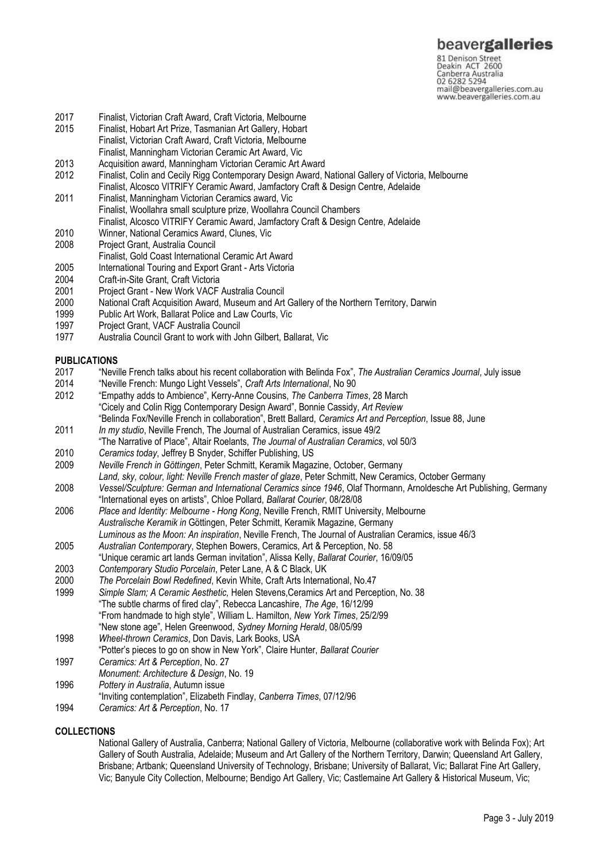81 Denison Street<br>Deakin ACT 2600 Canberra Australia 02 6282 5294 mail@beavergalleries.com.au www.beavergalleries.com.au

- 2017 Finalist, Victorian Craft Award, Craft Victoria, Melbourne
- Finalist, Hobart Art Prize, Tasmanian Art Gallery, Hobart Finalist, Victorian Craft Award, Craft Victoria, Melbourne
- Finalist, Manningham Victorian Ceramic Art Award, Vic
- 2013 Acquisition award, Manningham Victorian Ceramic Art Award<br>2012 Finalist, Colin and Cecily Rigg Contemporary Design Award, I
- 2012 Finalist, Colin and Cecily Rigg Contemporary Design Award, National Gallery of Victoria, Melbourne
- Finalist, Alcosco VITRIFY Ceramic Award, Jamfactory Craft & Design Centre, Adelaide
- 2011 Finalist, Manningham Victorian Ceramics award, Vic Finalist, Woollahra small sculpture prize, Woollahra Council Chambers Finalist, Alcosco VITRIFY Ceramic Award, Jamfactory Craft & Design Centre, Adelaide
- 2010 Winner, National Ceramics Award, Clunes, Vic
- 2008 Project Grant, Australia Council
- Finalist, Gold Coast International Ceramic Art Award
- 2005 International Touring and Export Grant Arts Victoria<br>2004 Craft-in-Site Grant, Craft Victoria
- 
- 2004 Craft-in-Site Grant, Craft Victoria
- 2001 Project Grant New Work VACF Australia Council 2000 National Craft Acquisition Award, Museum and Art Gallery of the Northern Territory, Darwin
- 1999 Public Art Work, Ballarat Police and Law Courts, Vic<br>1997 Project Grant, VACF Australia Council
- 1997 Project Grant, VACF Australia Council<br>1977 Australia Council Grant to work with Jo
- Australia Council Grant to work with John Gilbert, Ballarat, Vic

### **PUBLICATIONS**

- 2017 "Neville French talks about his recent collaboration with Belinda Fox", *The Australian Ceramics Journal*, July issue
- 2014 "Neville French: Mungo Light Vessels", *Craft Arts International*, No 90
- 2012 "Empathy adds to Ambience", Kerry-Anne Cousins, *The Canberra Times*, 28 March "Cicely and Colin Rigg Contemporary Design Award", Bonnie Cassidy, *Art Review* "Belinda Fox/Neville French in collaboration", Brett Ballard, *Ceramics Art and Perception*, Issue 88, June
- 2011 *In my studio*, Neville French, The Journal of Australian Ceramics, issue 49/2
- "The Narrative of Place", Altair Roelants, *The Journal of Australian Ceramics*, vol 50/3 2010 *Ceramics today*, Jeffrey B Snyder, Schiffer Publishing, US
- 2009 *Neville French in Göttingen*, Peter Schmitt, Keramik Magazine, October, Germany
- *Land, sky, colour, light: Neville French master of glaze*, Peter Schmitt, New Ceramics, October Germany
- 2008 *Vessel/Sculpture: German and International Ceramics since 1946*, Olaf Thormann, Arnoldesche Art Publishing, Germany
- "International eyes on artists", Chloe Pollard, *Ballarat Courier*, 08/28/08
- 2006 *Place and Identity: Melbourne - Hong Kong*, Neville French, RMIT University, Melbourne *Australische Keramik in* Göttingen, Peter Schmitt, Keramik Magazine, Germany *Luminous as the Moon: An inspiration*, Neville French, The Journal of Australian Ceramics, issue 46/3
- 2005 *Australian Contemporary*, Stephen Bowers, Ceramics, Art & Perception, No. 58
- "Unique ceramic art lands German invitation", Alissa Kelly, *Ballarat Courier*, 16/09/05
- 2003 *Contemporary Studio Porcelain*, Peter Lane, A & C Black, UK
- 2000 *The Porcelain Bowl Redefined*, Kevin White, Craft Arts International, No.47
- 1999 *Simple Slam; A Ceramic Aesthetic,* Helen Stevens,Ceramics Art and Perception, No. 38 "The subtle charms of fired clay", Rebecca Lancashire, *The Age*, 16/12/99 "From handmade to high style", William L. Hamilton, *New York Times*, 25/2/99 "New stone age", Helen Greenwood, *Sydney Morning Herald*, 08/05/99
- 1998 *Wheel-thrown Ceramics*, Don Davis, Lark Books, USA
- "Potter's pieces to go on show in New York", Claire Hunter, *Ballarat Courier*
- 1997 *Ceramics: Art & Perception*, No. 27
- *Monument: Architecture & Design*, No. 19
- 1996 *Pottery in Australia*, Autumn issue
- "Inviting contemplation", Elizabeth Findlay, *Canberra Times*, 07/12/96
- 1994 *Ceramics: Art & Perception*, No. 17

#### **COLLECTIONS**

National Gallery of Australia, Canberra; National Gallery of Victoria, Melbourne (collaborative work with Belinda Fox); Art Gallery of South Australia, Adelaide; Museum and Art Gallery of the Northern Territory, Darwin; Queensland Art Gallery, Brisbane; Artbank; Queensland University of Technology, Brisbane; University of Ballarat, Vic; Ballarat Fine Art Gallery, Vic; Banyule City Collection, Melbourne; Bendigo Art Gallery, Vic; Castlemaine Art Gallery & Historical Museum, Vic;